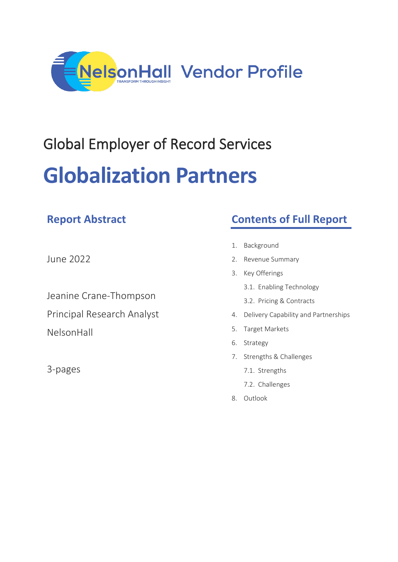

# Global Employer of Record Services **Globalization Partners**

| June 2022 |  |  |
|-----------|--|--|

**Report Abstract**

Jeanine Crane-Thompson Principal Research Analyst NelsonHall

3-pages

# **Contents of Full Report**

- 1. Background
- 2. Revenue Summary
- 3. Key Offerings
	- 3.1. Enabling Technology
	- 3.2. Pricing & Contracts
- 4. Delivery Capability and Partnerships
- 5. Target Markets
- 6. Strategy
- 7. Strengths & Challenges
	- 7.1. Strengths
	- 7.2. Challenges
- 8. Outlook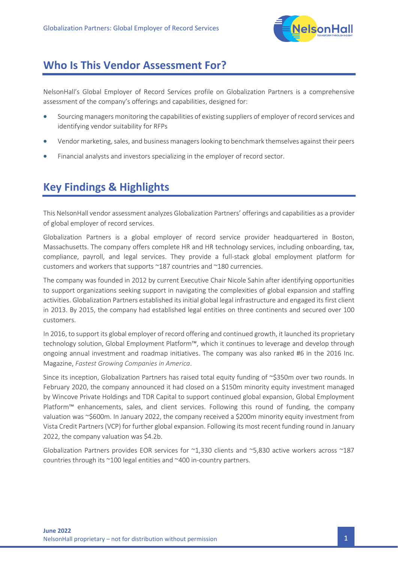

## **Who Is This Vendor Assessment For?**

NelsonHall's Global Employer of Record Services profile on Globalization Partners is a comprehensive assessment of the company's offerings and capabilities, designed for:

- Sourcing managers monitoring the capabilities of existing suppliers of employer of record services and identifying vendor suitability for RFPs
- Vendor marketing, sales, and business managers looking to benchmark themselves against their peers
- Financial analysts and investors specializing in the employer of record sector.

## **Key Findings & Highlights**

This NelsonHall vendor assessment analyzes Globalization Partners' offerings and capabilities as a provider of global employer of record services.

Globalization Partners is a global employer of record service provider headquartered in Boston, Massachusetts. The company offers complete HR and HR technology services, including onboarding, tax, compliance, payroll, and legal services. They provide a full-stack global employment platform for customers and workers that supports ~187 countries and ~180 currencies.

The company was founded in 2012 by current Executive Chair Nicole Sahin after identifying opportunities to support organizations seeking support in navigating the complexities of global expansion and staffing activities. Globalization Partners established its initial global legal infrastructure and engaged its first client in 2013. By 2015, the company had established legal entities on three continents and secured over 100 customers.

In 2016, to support its global employer of record offering and continued growth, it launched its proprietary technology solution, Global Employment Platform™, which it continues to leverage and develop through ongoing annual investment and roadmap initiatives. The company was also ranked #6 in the 2016 Inc. Magazine, *Fastest Growing Companies in America*.

Since its inception, Globalization Partners has raised total equity funding of ~\$350m over two rounds. In February 2020, the company announced it had closed on a \$150m minority equity investment managed by Wincove Private Holdings and TDR Capital to support continued global expansion, Global Employment Platform™ enhancements, sales, and client services. Following this round of funding, the company valuation was ~\$600m. In January 2022, the company received a \$200m minority equity investment from Vista Credit Partners (VCP) for further global expansion. Following its most recent funding round in January 2022, the company valuation was \$4.2b.

Globalization Partners provides EOR services for  $\sim$ 1,330 clients and  $\sim$ 5,830 active workers across  $\sim$ 187 countries through its ~100 legal entities and ~400 in-country partners.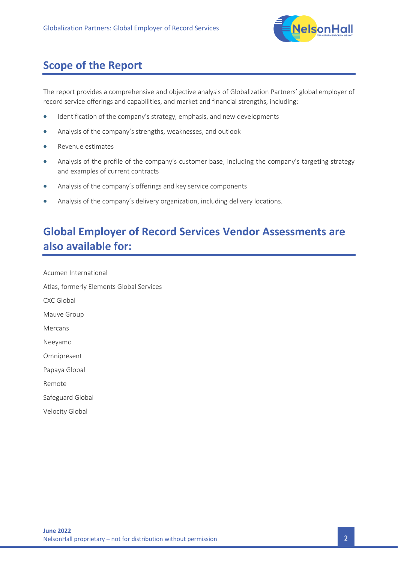

## **Scope of the Report**

The report provides a comprehensive and objective analysis of Globalization Partners' global employer of record service offerings and capabilities, and market and financial strengths, including:

- Identification of the company's strategy, emphasis, and new developments
- Analysis of the company's strengths, weaknesses, and outlook
- Revenue estimates
- Analysis of the profile of the company's customer base, including the company's targeting strategy and examples of current contracts
- Analysis of the company's offerings and key service components
- Analysis of the company's delivery organization, including delivery locations.

# **Global Employer of Record Services Vendor Assessments are also available for:**

Acumen International Atlas, formerly Elements Global Services CXC Global Mauve Group Mercans Neeyamo Omnipresent Papaya Global Remote Safeguard Global Velocity Global